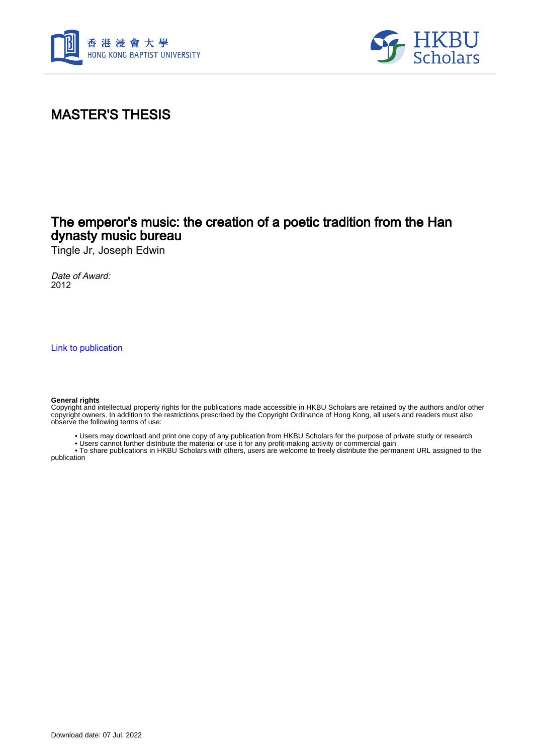



#### MASTER'S THESIS

#### The emperor's music: the creation of a poetic tradition from the Han dynasty music bureau

Tingle Jr, Joseph Edwin

Date of Award: 2012

[Link to publication](https://scholars.hkbu.edu.hk/en/studentTheses/7e9cb164-bd97-46b3-a9d1-749528496c38)

#### **General rights**

Copyright and intellectual property rights for the publications made accessible in HKBU Scholars are retained by the authors and/or other copyright owners. In addition to the restrictions prescribed by the Copyright Ordinance of Hong Kong, all users and readers must also observe the following terms of use:

• Users may download and print one copy of any publication from HKBU Scholars for the purpose of private study or research

• Users cannot further distribute the material or use it for any profit-making activity or commercial gain

 • To share publications in HKBU Scholars with others, users are welcome to freely distribute the permanent URL assigned to the publication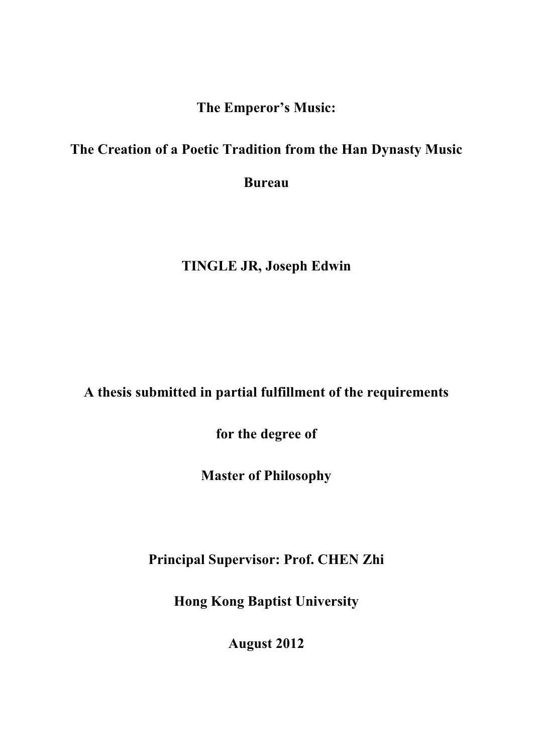**The Emperor's Music:**

#### **The Creation of a Poetic Tradition from the Han Dynasty Music**

**Bureau** 

### **TINGLE JR, Joseph Edwin**

## **A thesis submitted in partial fulfillment of the requirements**

**for the degree of**

**Master of Philosophy**

**Principal Supervisor: Prof. CHEN Zhi**

**Hong Kong Baptist University**

**August 2012**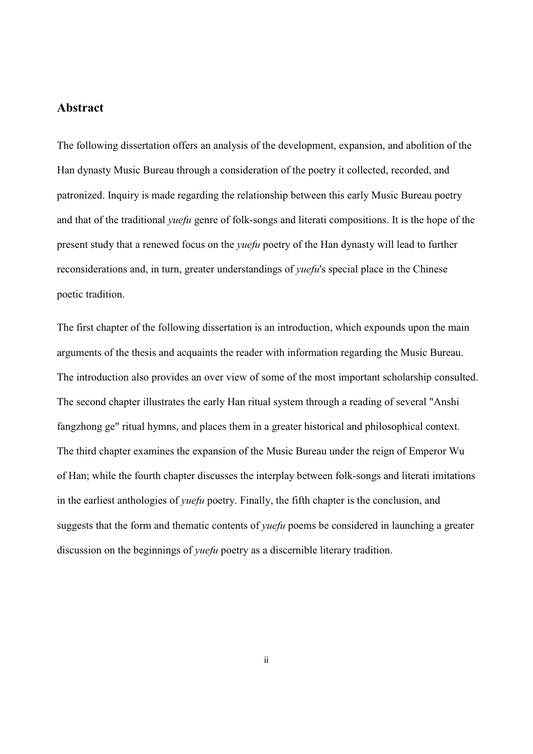#### **Abstract**

The following dissertation offers an analysis of the development, expansion, and abolition of the Han dynasty Music Bureau through a consideration of the poetry it collected, recorded, and patronized. Inquiry is made regarding the relationship between this early Music Bureau poetry and that of the traditional *yuefu* genre of folk-songs and literati compositions. It is the hope of the present study that a renewed focus on the *yuefu* poetry of the Han dynasty will lead to further reconsiderations and, in turn, greater understandings of *yuefu*'s special place in the Chinese poetic tradition.

The first chapter of the following dissertation is an introduction, which expounds upon the main arguments of the thesis and acquaints the reader with information regarding the Music Bureau. The introduction also provides an over view of some of the most important scholarship consulted. The second chapter illustrates the early Han ritual system through a reading of several "Anshi fangzhong ge" ritual hymns, and places them in a greater historical and philosophical context. The third chapter examines the expansion of the Music Bureau under the reign of Emperor Wu of Han; while the fourth chapter discusses the interplay between folk-songs and literati imitations in the earliest anthologies of *yuefu* poetry. Finally, the fifth chapter is the conclusion, and suggests that the form and thematic contents of *yuefu* poems be considered in launching a greater discussion on the beginnings of *yuefu* poetry as a discernible literary tradition.